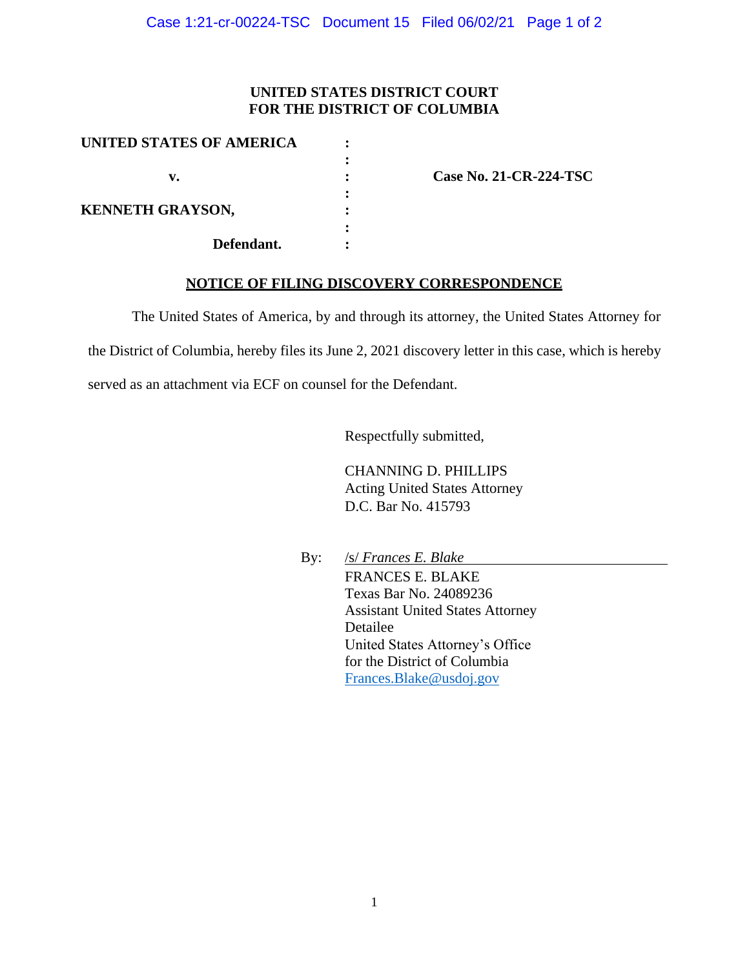## **UNITED STATES DISTRICT COURT FOR THE DISTRICT OF COLUMBIA**

| <b>UNITED STATES OF AMERICA</b>       |  |
|---------------------------------------|--|
|                                       |  |
| v.                                    |  |
|                                       |  |
| <b>KENNETH GRAYSON,</b><br>Defendant. |  |
|                                       |  |
|                                       |  |
|                                       |  |

**v. : Case No. 21-CR-224-TSC**

## **NOTICE OF FILING DISCOVERY CORRESPONDENCE**

The United States of America, by and through its attorney, the United States Attorney for

the District of Columbia, hereby files its June 2, 2021 discovery letter in this case, which is hereby

served as an attachment via ECF on counsel for the Defendant.

Respectfully submitted,

CHANNING D. PHILLIPS Acting United States Attorney D.C. Bar No. 415793

By: /s/ *Frances E. Blake* FRANCES E. BLAKE Texas Bar No. 24089236 Assistant United States Attorney Detailee United States Attorney's Office for the District of Columbia Frances.Blake@usdoj.gov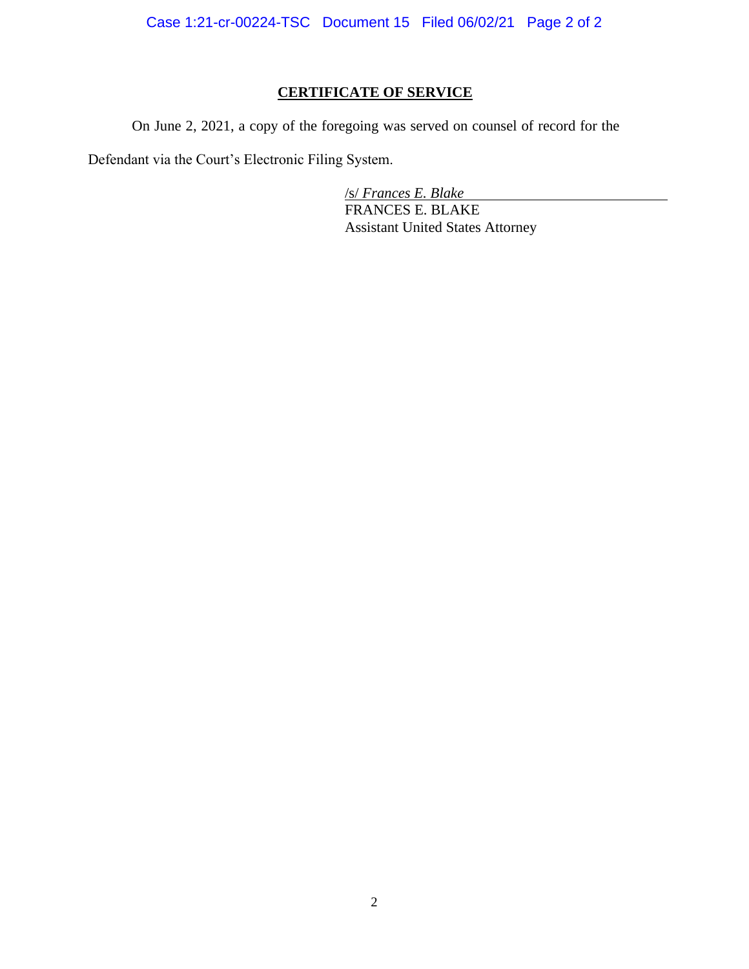Case 1:21-cr-00224-TSC Document 15 Filed 06/02/21 Page 2 of 2

## **CERTIFICATE OF SERVICE**

On June 2, 2021, a copy of the foregoing was served on counsel of record for the

Defendant via the Court's Electronic Filing System.

/s/ *Frances E. Blake* FRANCES E. BLAKE Assistant United States Attorney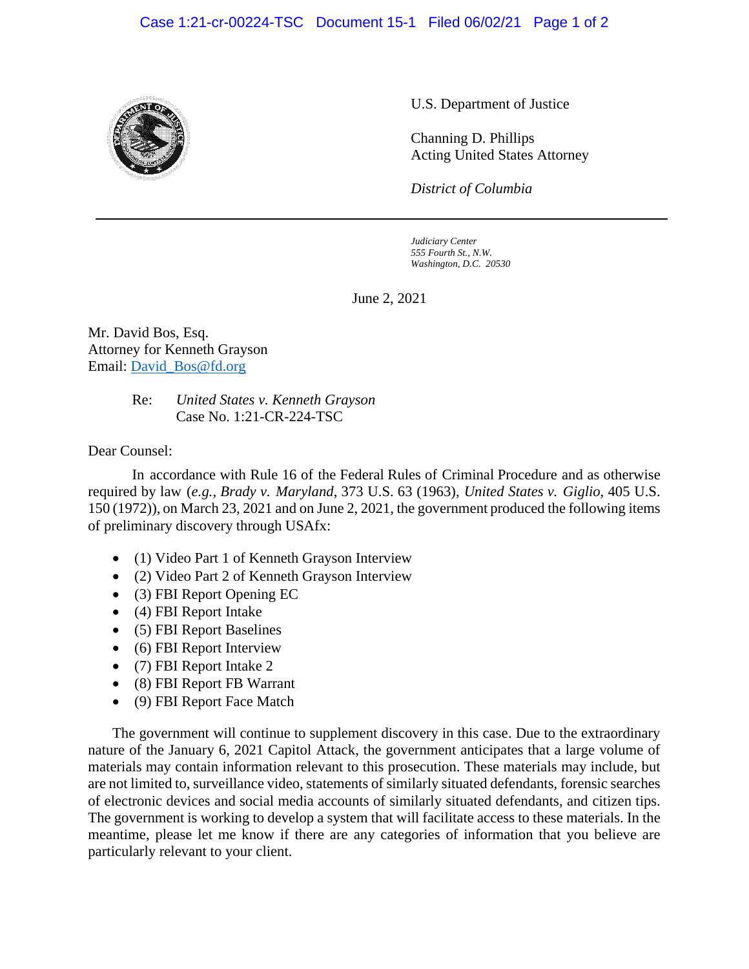## Case 1:21-cr-00224-TSC Document 15-1 Filed 06/02/21 Page 1 of 2



U.S. Department of Justice

Channing D. Phillips Acting United States Attorney

*District of Columbia*

*Judiciary Center 555 Fourth St., N.W. Washington, D.C. 20530*

June 2, 2021

Mr. David Bos, Esq. Attorney for Kenneth Grayson Email: David\_Bos@fd.org

> Re: *United States v. Kenneth Grayson* Case No. 1:21-CR-224-TSC

Dear Counsel:

In accordance with Rule 16 of the Federal Rules of Criminal Procedure and as otherwise required by law (*e.g.*, *Brady v. Maryland*, 373 U.S. 63 (1963), *United States v. Giglio*, 405 U.S. 150 (1972)), on March 23, 2021 and on June 2, 2021, the government produced the following items of preliminary discovery through USAfx:

- (1) Video Part 1 of Kenneth Grayson Interview
- (2) Video Part 2 of Kenneth Grayson Interview
- (3) FBI Report Opening EC
- (4) FBI Report Intake
- (5) FBI Report Baselines
- (6) FBI Report Interview
- (7) FBI Report Intake 2
- (8) FBI Report FB Warrant
- (9) FBI Report Face Match

The government will continue to supplement discovery in this case. Due to the extraordinary nature of the January 6, 2021 Capitol Attack, the government anticipates that a large volume of materials may contain information relevant to this prosecution. These materials may include, but are not limited to, surveillance video, statements of similarly situated defendants, forensic searches of electronic devices and social media accounts of similarly situated defendants, and citizen tips. The government is working to develop a system that will facilitate access to these materials. In the meantime, please let me know if there are any categories of information that you believe are particularly relevant to your client.